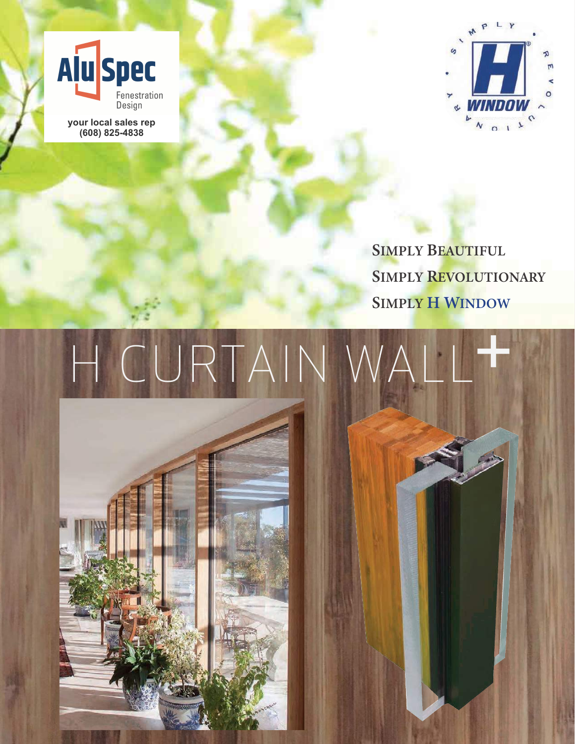

**(608) 825-4838**

 $\omega$  $N$  0 1  $\lambda$ 

**SIMPLY BEAUTIFUL SIMPLY REVOLUTIONARY SIMPLY H WINDOW** 

## H CURTAIN +